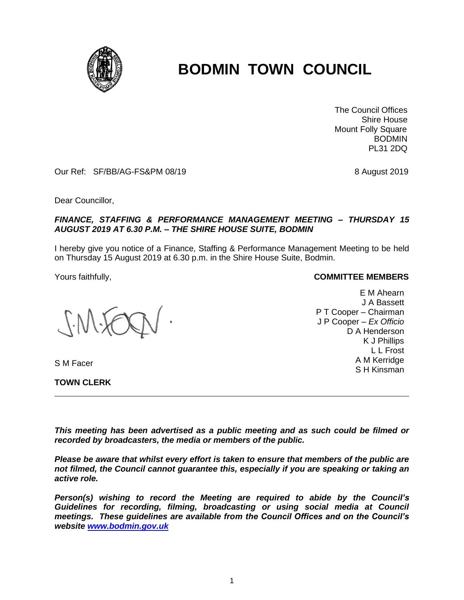

# **BODMIN TOWN COUNCIL**

 The Council Offices Shire House Mount Folly Square BODMIN PL31 2DQ

Our Ref: SF/BB/AG-FS&PM 08/19 8 August 2019

Dear Councillor,

### *FINANCE, STAFFING & PERFORMANCE MANAGEMENT MEETING – THURSDAY 15 AUGUST 2019 AT 6.30 P.M. – THE SHIRE HOUSE SUITE, BODMIN*

I hereby give you notice of a Finance, Staffing & Performance Management Meeting to be held on Thursday 15 August 2019 at 6.30 p.m. in the Shire House Suite, Bodmin.

S M Facer

**TOWN CLERK**

#### Yours faithfully, **COMMITTEE MEMBERS**

E M Ahearn J A Bassett P T Cooper – Chairman J P Cooper – *Ex Officio* D A Henderson K J Phillips L L Frost A M Kerridge S H Kinsman

*This meeting has been advertised as a public meeting and as such could be filmed or recorded by broadcasters, the media or members of the public.*

*Please be aware that whilst every effort is taken to ensure that members of the public are not filmed, the Council cannot guarantee this, especially if you are speaking or taking an active role.*

*Person(s) wishing to record the Meeting are required to abide by the Council's Guidelines for recording, filming, broadcasting or using social media at Council meetings. These guidelines are available from the Council Offices and on the Council's website [www.bodmin.gov.uk](http://www.bodmin.gov.uk/)*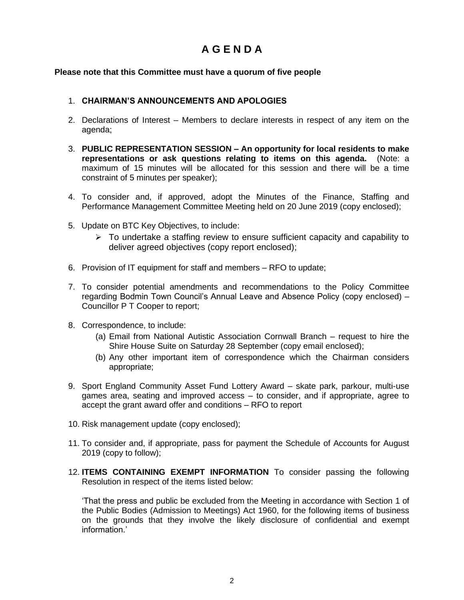# **A G E N D A**

## **Please note that this Committee must have a quorum of five people**

## 1. **CHAIRMAN'S ANNOUNCEMENTS AND APOLOGIES**

- 2. Declarations of Interest Members to declare interests in respect of any item on the agenda;
- 3. **PUBLIC REPRESENTATION SESSION – An opportunity for local residents to make representations or ask questions relating to items on this agenda.** (Note: a maximum of 15 minutes will be allocated for this session and there will be a time constraint of 5 minutes per speaker);
- 4. To consider and, if approved, adopt the Minutes of the Finance, Staffing and Performance Management Committee Meeting held on 20 June 2019 (copy enclosed);
- 5. Update on BTC Key Objectives, to include:
	- $\triangleright$  To undertake a staffing review to ensure sufficient capacity and capability to deliver agreed objectives (copy report enclosed);
- 6. Provision of IT equipment for staff and members RFO to update;
- 7. To consider potential amendments and recommendations to the Policy Committee regarding Bodmin Town Council's Annual Leave and Absence Policy (copy enclosed) – Councillor P T Cooper to report;
- 8. Correspondence, to include:
	- (a) Email from National Autistic Association Cornwall Branch request to hire the Shire House Suite on Saturday 28 September (copy email enclosed);
	- (b) Any other important item of correspondence which the Chairman considers appropriate;
- 9. Sport England Community Asset Fund Lottery Award skate park, parkour, multi-use games area, seating and improved access – to consider, and if appropriate, agree to accept the grant award offer and conditions – RFO to report
- 10. Risk management update (copy enclosed);
- 11. To consider and, if appropriate, pass for payment the Schedule of Accounts for August 2019 (copy to follow);
- 12. **ITEMS CONTAINING EXEMPT INFORMATION** To consider passing the following Resolution in respect of the items listed below:

'That the press and public be excluded from the Meeting in accordance with Section 1 of the Public Bodies (Admission to Meetings) Act 1960, for the following items of business on the grounds that they involve the likely disclosure of confidential and exempt information.'